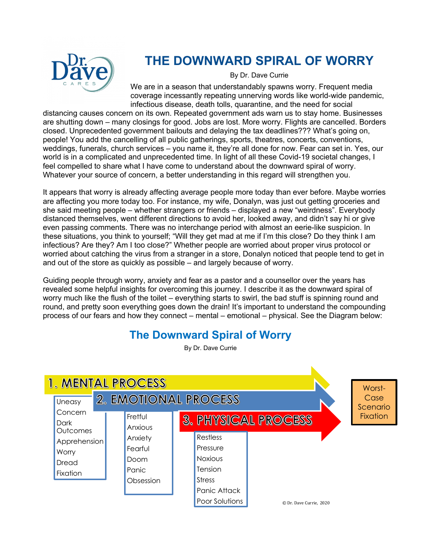

# **THE DOWNWARD SPIRAL OF WORRY**

By Dr. Dave Currie

We are in a season that understandably spawns worry. Frequent media coverage incessantly repeating unnerving words like world-wide pandemic, infectious disease, death tolls, quarantine, and the need for social

distancing causes concern on its own. Repeated government ads warn us to stay home. Businesses are shutting down – many closings for good. Jobs are lost. More worry. Flights are cancelled. Borders closed. Unprecedented government bailouts and delaying the tax deadlines??? What's going on, people! You add the cancelling of all public gatherings, sports, theatres, concerts, conventions, weddings, funerals, church services – you name it, they're all done for now. Fear can set in. Yes, our world is in a complicated and unprecedented time. In light of all these Covid-19 societal changes, I feel compelled to share what I have come to understand about the downward spiral of worry. Whatever your source of concern, a better understanding in this regard will strengthen you.

It appears that worry is already affecting average people more today than ever before. Maybe worries are affecting you more today too. For instance, my wife, Donalyn, was just out getting groceries and she said meeting people – whether strangers or friends – displayed a new "weirdness". Everybody distanced themselves, went different directions to avoid her, looked away, and didn't say hi or give even passing comments. There was no interchange period with almost an eerie-like suspicion. In these situations, you think to yourself; "Will they get mad at me if I'm this close? Do they think I am infectious? Are they? Am I too close?" Whether people are worried about proper virus protocol or worried about catching the virus from a stranger in a store, Donalyn noticed that people tend to get in and out of the store as quickly as possible – and largely because of worry.

Guiding people through worry, anxiety and fear as a pastor and a counsellor over the years has revealed some helpful insights for overcoming this journey. I describe it as the downward spiral of worry much like the flush of the toilet – everything starts to swirl, the bad stuff is spinning round and round, and pretty soon everything goes down the drain! It's important to understand the compounding process of our fears and how they connect – mental – emotional – physical. See the Diagram below:

# **The Downward Spiral of Worry**

By Dr. Dave Currie

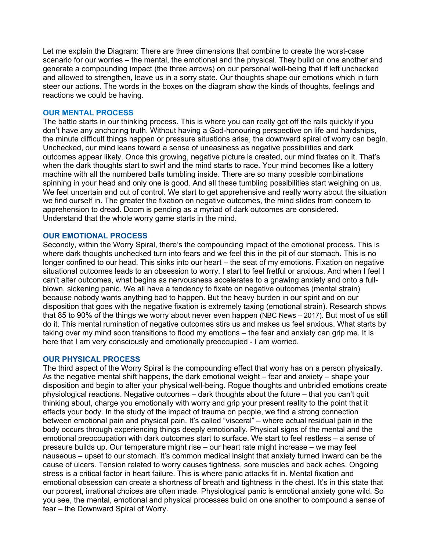Let me explain the Diagram: There are three dimensions that combine to create the worst-case scenario for our worries – the mental, the emotional and the physical. They build on one another and generate a compounding impact (the three arrows) on our personal well-being that if left unchecked and allowed to strengthen, leave us in a sorry state. Our thoughts shape our emotions which in turn steer our actions. The words in the boxes on the diagram show the kinds of thoughts, feelings and reactions we could be having.

## **OUR MENTAL PROCESS**

The battle starts in our thinking process. This is where you can really get off the rails quickly if you don't have any anchoring truth. Without having a God-honouring perspective on life and hardships, the minute difficult things happen or pressure situations arise, the downward spiral of worry can begin. Unchecked, our mind leans toward a sense of uneasiness as negative possibilities and dark outcomes appear likely. Once this growing, negative picture is created, our mind fixates on it. That's when the dark thoughts start to swirl and the mind starts to race. Your mind becomes like a lottery machine with all the numbered balls tumbling inside. There are so many possible combinations spinning in your head and only one is good. And all these tumbling possibilities start weighing on us. We feel uncertain and out of control. We start to get apprehensive and really worry about the situation we find ourself in. The greater the fixation on negative outcomes, the mind slides from concern to apprehension to dread. Doom is pending as a myriad of dark outcomes are considered. Understand that the whole worry game starts in the mind.

#### **OUR EMOTIONAL PROCESS**

Secondly, within the Worry Spiral, there's the compounding impact of the emotional process. This is where dark thoughts unchecked turn into fears and we feel this in the pit of our stomach. This is no longer confined to our head. This sinks into our heart – the seat of my emotions. Fixation on negative situational outcomes leads to an obsession to worry. I start to feel fretful or anxious. And when I feel I can't alter outcomes, what begins as nervousness accelerates to a gnawing anxiety and onto a fullblown, sickening panic. We all have a tendency to fixate on negative outcomes (mental strain) because nobody wants anything bad to happen. But the heavy burden in our spirit and on our disposition that goes with the negative fixation is extremely taxing (emotional strain). Research shows that 85 to 90% of the things we worry about never even happen (NBC News – 2017). But most of us still do it. This mental rumination of negative outcomes stirs us and makes us feel anxious. What starts by taking over my mind soon transitions to flood my emotions – the fear and anxiety can grip me. It is here that I am very consciously and emotionally preoccupied - I am worried.

## **OUR PHYSICAL PROCESS**

The third aspect of the Worry Spiral is the compounding effect that worry has on a person physically. As the negative mental shift happens, the dark emotional weight – fear and anxiety – shape your disposition and begin to alter your physical well-being. Rogue thoughts and unbridled emotions create physiological reactions. Negative outcomes – dark thoughts about the future – that you can't quit thinking about, charge you emotionally with worry and grip your present reality to the point that it effects your body. In the study of the impact of trauma on people, we find a strong connection between emotional pain and physical pain. It's called "visceral" – where actual residual pain in the body occurs through experiencing things deeply emotionally. Physical signs of the mental and the emotional preoccupation with dark outcomes start to surface. We start to feel restless – a sense of pressure builds up. Our temperature might rise – our heart rate might increase – we may feel nauseous – upset to our stomach. It's common medical insight that anxiety turned inward can be the cause of ulcers. Tension related to worry causes tightness, sore muscles and back aches. Ongoing stress is a critical factor in heart failure. This is where panic attacks fit in. Mental fixation and emotional obsession can create a shortness of breath and tightness in the chest. It's in this state that our poorest, irrational choices are often made. Physiological panic is emotional anxiety gone wild. So you see, the mental, emotional and physical processes build on one another to compound a sense of fear – the Downward Spiral of Worry.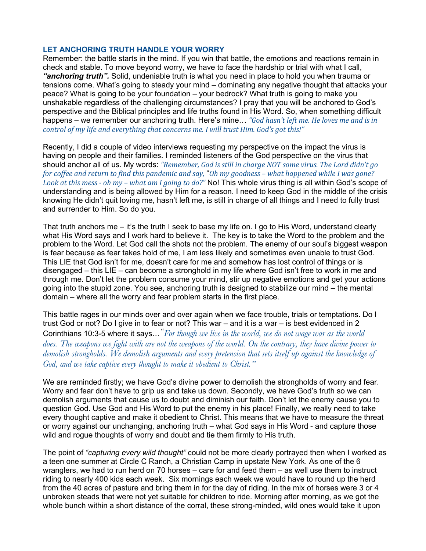# **LET ANCHORING TRUTH HANDLE YOUR WORRY**

Remember: the battle starts in the mind. If you win that battle, the emotions and reactions remain in check and stable. To move beyond worry, we have to face the hardship or trial with what I call, *"anchoring truth".* Solid, undeniable truth is what you need in place to hold you when trauma or tensions come. What's going to steady your mind – dominating any negative thought that attacks your peace? What is going to be your foundation – your bedrock? What truth is going to make you unshakable regardless of the challenging circumstances? I pray that you will be anchored to God's perspective and the Biblical principles and life truths found in His Word. So, when something difficult happens – we remember our anchoring truth. Here's mine... *"God hasn't left me. He loves me and is in control* of my life and everything that concerns me. I will trust Him. God's got this!"

Recently, I did a couple of video interviews requesting my perspective on the impact the virus is having on people and their families. I reminded listeners of the God perspective on the virus that should anchor all of us. My words: "Remember, God is still in charge NOT some virus. The Lord didn't go *for* coffee and return to find this pandemic and say, "Oh my goodness – what happened while I was gone? *Look at this mess - oh my – what am I going to do?"* No! This whole virus thing is all within God's scope of understanding and is being allowed by Him for a reason. I need to keep God in the middle of the crisis knowing He didn't quit loving me, hasn't left me, is still in charge of all things and I need to fully trust and surrender to Him. So do you.

That truth anchors me – it's the truth I seek to base my life on. I go to His Word, understand clearly what His Word says and I work hard to believe it. The key is to take the Word to the problem and the problem to the Word. Let God call the shots not the problem. The enemy of our soul's biggest weapon is fear because as fear takes hold of me, I am less likely and sometimes even unable to trust God. This LIE that God isn't for me, doesn't care for me and somehow has lost control of things or is disengaged – this LIE – can become a stronghold in my life where God isn't free to work in me and through me. Don't let the problem consume your mind, stir up negative emotions and get your actions going into the stupid zone. You see, anchoring truth is designed to stabilize our mind – the mental domain – where all the worry and fear problem starts in the first place.

This battle rages in our minds over and over again when we face trouble, trials or temptations. Do I trust God or not? Do I give in to fear or not? This war – and it is a war – is best evidenced in 2 Corinthians 10:3-5 where it says…**"** *For though we live in the world, we do not wage war as the world does. The weapons we fight with are not the weapons of the world. On the contrary, they have divine power to demolish strongholds. We demolish arguments and every pretension that sets itself up against the knowledge of God, and we take captive every thought to make it obedient to Christ."*

We are reminded firstly; we have God's divine power to demolish the strongholds of worry and fear. Worry and fear don't have to grip us and take us down. Secondly, we have God's truth so we can demolish arguments that cause us to doubt and diminish our faith. Don't let the enemy cause you to question God. Use God and His Word to put the enemy in his place! Finally, we really need to take every thought captive and make it obedient to Christ. This means that we have to measure the threat or worry against our unchanging, anchoring truth – what God says in His Word - and capture those wild and rogue thoughts of worry and doubt and tie them firmly to His truth.

The point of *"capturing every wild thought"* could not be more clearly portrayed then when I worked as a teen one summer at Circle C Ranch, a Christian Camp in upstate New York. As one of the 6 wranglers, we had to run herd on 70 horses – care for and feed them – as well use them to instruct riding to nearly 400 kids each week. Six mornings each week we would have to round up the herd from the 40 acres of pasture and bring them in for the day of riding. In the mix of horses were 3 or 4 unbroken steads that were not yet suitable for children to ride. Morning after morning, as we got the whole bunch within a short distance of the corral, these strong-minded, wild ones would take it upon